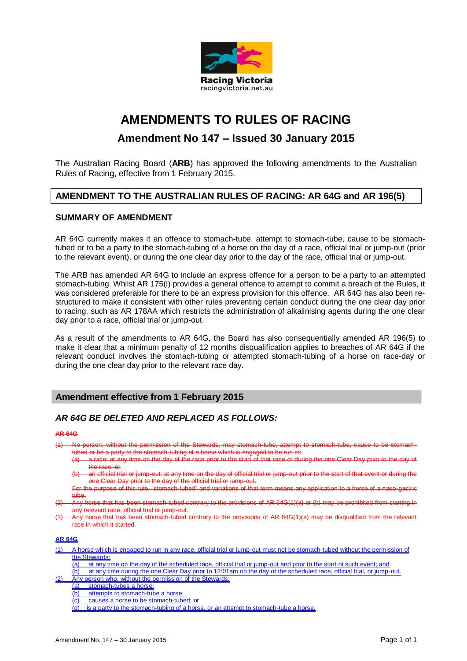

# **AMENDMENTS TO RULES OF RACING**

## **Amendment No 147 – Issued 30 January 2015**

The Australian Racing Board (**ARB**) has approved the following amendments to the Australian Rules of Racing, effective from 1 February 2015.

## **AMENDMENT TO THE AUSTRALIAN RULES OF RACING: AR 64G and AR 196(5)**

### **SUMMARY OF AMENDMENT**

AR 64G currently makes it an offence to stomach-tube, attempt to stomach-tube, cause to be stomachtubed or to be a party to the stomach-tubing of a horse on the day of a race, official trial or jump-out (prior to the relevant event), or during the one clear day prior to the day of the race, official trial or jump-out.

The ARB has amended AR 64G to include an express offence for a person to be a party to an attempted stomach-tubing. Whilst AR 175(l) provides a general offence to attempt to commit a breach of the Rules, it was considered preferable for there to be an express provision for this offence. AR 64G has also been restructured to make it consistent with other rules preventing certain conduct during the one clear day prior to racing, such as AR 178AA which restricts the administration of alkalinising agents during the one clear day prior to a race, official trial or jump-out.

As a result of the amendments to AR 64G, the Board has also consequentially amended AR 196(5) to make it clear that a minimum penalty of 12 months disqualification applies to breaches of AR 64G if the relevant conduct involves the stomach-tubing or attempted stomach-tubing of a horse on race-day or during the one clear day prior to the relevant race day.

### **Amendment effective from 1 February 2015**

### *AR 64G BE DELETED AND REPLACED AS FOLLOWS:*

#### **AR 64G**

- (1) No person, without the permission of the Stewards, may stomach-tube, attempt to stomach-tube, cause to be stomachtubed or be a party to the stomach-tubing of a horse which is engaged to be run in:
	- a race: at any time on the day of the race prior to the start of that race or during the race; or
	- (b) an official trial or jump-out: at any time on the day of official trial or jump-out prior to the start of that event or during the one Clear Day prior to the day of the official trial or jump-out.
	- For the purpose of this rule, "stomach-tubed" and variations of that tub
- (2) Any horse that has been stomach-tubed contrary to the provisions of AR 64G(1)(a) or (b) may be prohibited from starting in any relevant race, official trial or jump-out.
- Any horse that has been stomach-tubed  $\overline{\mathbf{r}}$ e in which it started.

#### **AR 64G**

- (1) A horse which is engaged to run in any race, official trial or jump-out must not be stomach-tubed without the permission of the Stewards:
	- $\overline{a}$  at any time on the day of the scheduled race, official trial or jump-out and prior to the start of such event; and
- (b) at any time during the one Clear Day prior to 12:01am on the day of the scheduled race, official trial, or jump-out. (2) Any person who, without the permission of the Stewards:
- (a) stomach-tubes a horse;
	- (b) attempts to stomach-tube a horse
		-
	- (c) causes a horse to be stomach-tubed; or
	- (d) is a party to the stomach-tubing of a horse, or an attempt to stomach-tube a horse,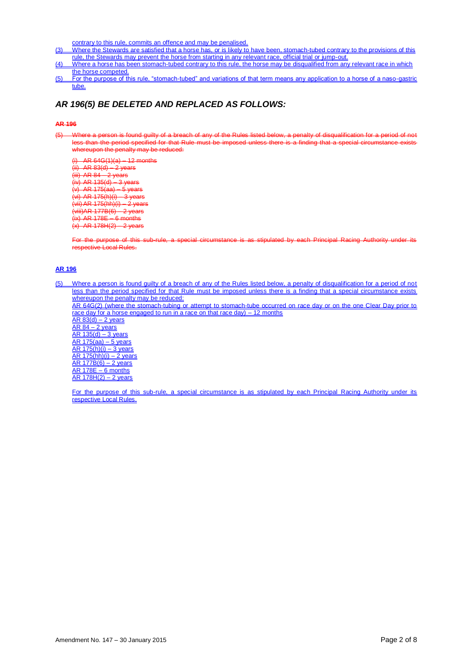contrary to this rule, commits an offence and may be penalised.

- (3) Where the Stewards are satisfied that a horse has, or is likely to have been, stomach-tubed contrary to the provisions of this rule, the Stewards may prevent the horse from starting in any relevant race, official trial or jump-out.
- (4) Where a horse has been stomach-tubed contrary to this rule, the horse may be disqualified from any relevant race in which the horse competed.
- (5) For the purpose of this rule, "stomach-tubed" and variations of that term means any application to a horse of a naso-gastric tube.

### *AR 196(5) BE DELETED AND REPLACED AS FOLLOWS:*

#### **AR 196**

(5) Where a person is found guilty of a breach of any of the Rules listed below, a penalty of disqualification for a period of not less than the period specified for that Rule must be imposed unless there is a finding that a special circumstance exists whereupon the penalty may be reduced:

 $AR 64G(1)(a) - 12$  months  $(ii)$  AR 83(d)  $-2$  years  $(iii)$  AR 84 – 2 years  $(iv)$  AR 135(d)  $-3$  years  $(v)$  AR 175 $(aa)$  – 5 years (vi) AR 175(h)(i) – 3 years (vii) AR 175(hh)(i) – 2 years  $\overrightarrow{(wii)}$ AR 177B $\overrightarrow{(6)}$  2 years  $(ix)$  AR 178E – 6 months  $(x)$  AR 178H(2) – 2 years

For the purpose of this sub-rule, a special circumstance is as stipulated by each Principal Racing Authority under its respective Local Rules.

#### **AR 196**

(5) Where a person is found guilty of a breach of any of the Rules listed below, a penalty of disqualification for a period of not less than the period specified for that Rule must be imposed unless there is a finding that a special circumstance exists whereupon the penalty may be reduced: AR 64G(2) (where the stomach-tubing or attempt to stomach-tube occurred on race day or on the one Clear Day prior to race day for a horse engaged to run in a race on that race day) – 12 months  $AR 83(d) - 2$  years  $AR 84 - 2 years$  $AR$  135(d) – 3 years AR 175(aa) – 5 years  $AR_1$  175(h)(i) – 3 years  $AR$  175(hh)(i) – 2 years AR 177B(6) – 2 years AR 178E – 6 months AR 178H(2) – 2 years

For the purpose of this sub-rule, a special circumstance is as stipulated by each Principal Racing Authority under its **respective Local Rules.**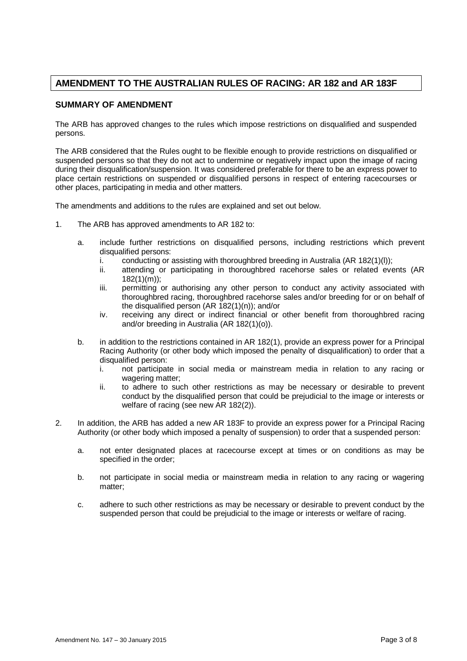## **AMENDMENT TO THE AUSTRALIAN RULES OF RACING: AR 182 and AR 183F**

#### **SUMMARY OF AMENDMENT**

The ARB has approved changes to the rules which impose restrictions on disqualified and suspended persons.

The ARB considered that the Rules ought to be flexible enough to provide restrictions on disqualified or suspended persons so that they do not act to undermine or negatively impact upon the image of racing during their disqualification/suspension. It was considered preferable for there to be an express power to place certain restrictions on suspended or disqualified persons in respect of entering racecourses or other places, participating in media and other matters.

The amendments and additions to the rules are explained and set out below.

- 1. The ARB has approved amendments to AR 182 to:
	- a. include further restrictions on disqualified persons, including restrictions which prevent disqualified persons:
		- i. conducting or assisting with thoroughbred breeding in Australia (AR 182(1)(l));
		- ii. attending or participating in thoroughbred racehorse sales or related events (AR 182(1)(m));
		- iii. permitting or authorising any other person to conduct any activity associated with thoroughbred racing, thoroughbred racehorse sales and/or breeding for or on behalf of the disqualified person (AR 182(1)(n)); and/or
		- iv. receiving any direct or indirect financial or other benefit from thoroughbred racing and/or breeding in Australia (AR 182(1)(o)).
	- b. in addition to the restrictions contained in AR 182(1), provide an express power for a Principal Racing Authority (or other body which imposed the penalty of disqualification) to order that a disqualified person:
		- i. not participate in social media or mainstream media in relation to any racing or wagering matter;
		- ii. to adhere to such other restrictions as may be necessary or desirable to prevent conduct by the disqualified person that could be prejudicial to the image or interests or welfare of racing (see new AR 182(2)).
- 2. In addition, the ARB has added a new AR 183F to provide an express power for a Principal Racing Authority (or other body which imposed a penalty of suspension) to order that a suspended person:
	- a. not enter designated places at racecourse except at times or on conditions as may be specified in the order;
	- b. not participate in social media or mainstream media in relation to any racing or wagering matter;
	- c. adhere to such other restrictions as may be necessary or desirable to prevent conduct by the suspended person that could be prejudicial to the image or interests or welfare of racing.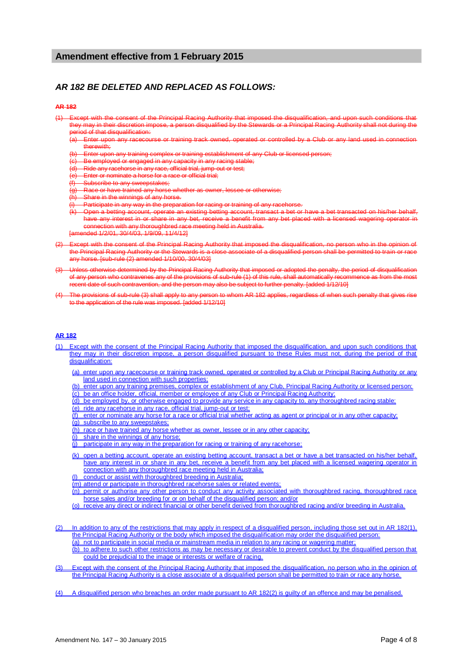#### **Amendment effective from 1 February 2015**

### *AR 182 BE DELETED AND REPLACED AS FOLLOWS:*

#### **AR 182**

- (1) Except with the consent of the Principal Racing Authority that imposed the disqualification, and upon such conditions that they may in their discretion impose, a person disqualified by the Stewards or a Principal Racing Authority shall not during the period of that disqualification:
	- Enter upon any racecourse or training track owned, operated or controlled by a Club or any land used in connection therewith;
	- Enter upon any training complex or training establishment of any Club or licensed person;
	- (c) Be employed or engaged in any capacity in any racing stable;
	- (d) Ride any racehorse in any race, official trial, jump-out or test;
	- Enter or nominate a horse for a race or official trial;
	- (f) Subscribe to any sweepstakes;
	- Race or have trained any horse whether as owner, lessee or otherwise;
	- (h) Share in the winnings of any horse.
	- Participate in any way in the preparation for racing or training of any racehors
	- (k) Open a betting account, operate an existing betting account, transact a bet or have a bet transacted on his/her behalf, have any interest in or share in any bet, receive a benefit from any bet placed with a licensed wagering operator in iction with any thoroughbred race meeting held in Australia.

[amended 1/2/01, 30/4/03, 1/9/09, 11/4/12]

- Except with the consent of the Principal Racing Authority that imposed the disqualification, no person who in the opinion the Principal Racing Authority or the Stewards is a close associate of a disqualified person shall be permitted to train or race any horse. [sub-rule (2) amended 1/10/00, 30/4/03]
- Unless otherwise determined by the Principal Racing Authority that imposed or adopted the penalty, the period of disqualification of any person who contravenes any of the provisions of sub-rule (1) of this rule, shall automatically recommence as from the most recent date of such contravention, and the person may also be subject to further penalty. [added 1/12/10]
- The provisions of sub-rule (3) shall apply to any person to whom AR 182 applies, regardless of when such penalty that gives rise to the application of the rule was imposed. [added 1/12/10]

#### **AR 182**

- (1) Except with the consent of the Principal Racing Authority that imposed the disqualification, and upon such conditions that they may in their discretion impose, a person disqualified pursuant to these Rules must not, during the period of that disqualification:
	- (a) enter upon any racecourse or training track owned, operated or controlled by a Club or Principal Racing Authority or any land used in connection with such properties;
	- (b) enter upon any training premises, complex or establishment of any Club, Principal Racing Authority or licensed person;
	- (c) be an office holder, official, member or employee of any Club or Principal Racing Authority;
	- (d) be employed by, or otherwise engaged to provide any service in any capacity to, any thoroughbred racing stable;
	- (e) ride any racehorse in any race, official trial, jump-out or test;
	- (f) enter or nominate any horse for a race or official trial whether acting as agent or principal or in any other capacity; (g) subscribe to any sweepstakes;
	- (h) race or have trained any horse whether as owner, lessee or in any other capacity;
	- share in the winnings of any horse;
	- $(i)$  participate in any way in the preparation for racing or training of any racehorse;
	- (k) open a betting account, operate an existing betting account, transact a bet or have a bet transacted on his/her behalf, have any interest in or share in any bet, receive a benefit from any bet placed with a licensed wagering operator in connection with any thoroughbred race meeting held in Australia;
	- (l) conduct or assist with thoroughbred breeding in Australia;
	- (m) attend or participate in thoroughbred racehorse sales or related events;
	- (n) permit or authorise any other person to conduct any activity associated with thoroughbred racing, thoroughbred race horse sales and/or breeding for or on behalf of the disqualified person; and/or
	- (o) receive any direct or indirect financial or other benefit derived from thoroughbred racing and/or breeding in Australia.
- (2) In addition to any of the restrictions that may apply in respect of a disqualified person, including those set out in AR 182(1), the Principal Racing Authority or the body which imposed the disqualification may order the disqualified person: (a) not to participate in social media or mainstream media in relation to any racing or wagering matter;
	- (b) to adhere to such other restrictions as may be necessary or desirable to prevent conduct by the disqualified person that could be prejudicial to the image or interests or welfare of racing.
- (3) Except with the consent of the Principal Racing Authority that imposed the disqualification, no person who in the opinion of the Principal Racing Authority is a close associate of a disqualified person shall be permitted to train or race any horse.
- (4) A disqualified person who breaches an order made pursuant to AR 182(2) is guilty of an offence and may be penalised.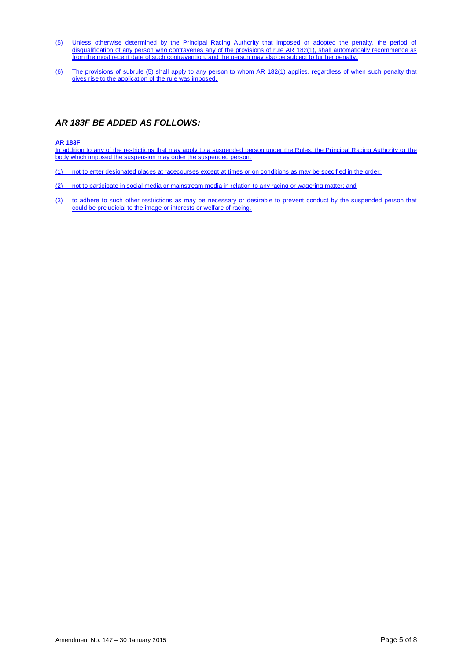- (5) Unless otherwise determined by the Principal Racing Authority that imposed or adopted the penalty, the period of disqualification of any person who contravenes any of the provisions of rule AR 182(1), shall automatically recommence as from the most recent date of such contravention, and the person may also be subject to further penalty.
- (6) The provisions of subrule (5) shall apply to any person to whom AR 182(1) applies, regardless of when such penalty that gives rise to the application of the rule was imposed.

### *AR 183F BE ADDED AS FOLLOWS:*

#### **AR 183F**

In addition to any of the restrictions that may apply to a suspended person under the Rules, the Principal Racing Authority or the body which imposed the suspension may order the suspended person:

- (1) not to enter designated places at racecourses except at times or on conditions as may be specified in the order;
- (2) not to participate in social media or mainstream media in relation to any racing or wagering matter; and
- (3) to adhere to such other restrictions as may be necessary or desirable to prevent conduct by the suspended person that could be prejudicial to the image or interests or welfare of racing.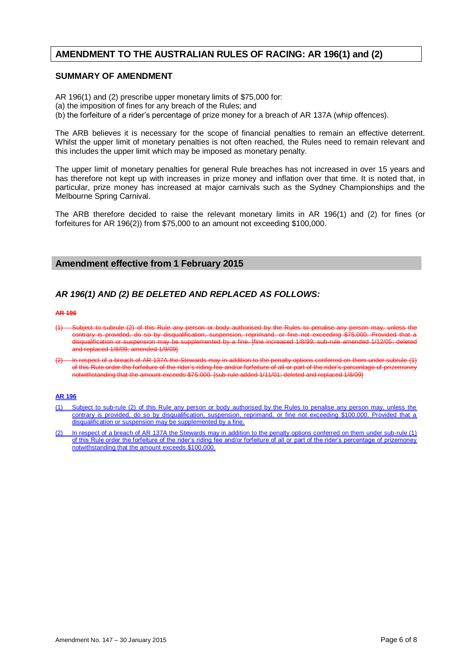## **AMENDMENT TO THE AUSTRALIAN RULES OF RACING: AR 196(1) and (2)**

#### **SUMMARY OF AMENDMENT**

AR 196(1) and (2) prescribe upper monetary limits of \$75,000 for:

- (a) the imposition of fines for any breach of the Rules; and
- (b) the forfeiture of a rider's percentage of prize money for a breach of AR 137A (whip offences).

The ARB believes it is necessary for the scope of financial penalties to remain an effective deterrent. Whilst the upper limit of monetary penalties is not often reached, the Rules need to remain relevant and this includes the upper limit which may be imposed as monetary penalty.

The upper limit of monetary penalties for general Rule breaches has not increased in over 15 years and has therefore not kept up with increases in prize money and inflation over that time. It is noted that, in particular, prize money has increased at major carnivals such as the Sydney Championships and the Melbourne Spring Carnival.

The ARB therefore decided to raise the relevant monetary limits in AR 196(1) and (2) for fines (or forfeitures for AR 196(2)) from \$75,000 to an amount not exceeding \$100,000.

#### **Amendment effective from 1 February 2015**

### *AR 196(1) AND (2) BE DELETED AND REPLACED AS FOLLOWS:*

#### **AR 196**

- $(1)$  Subject to subrule  $(2)$  of this Rule any person or body authorised by the contrary is provided, do so by disqualification, suspension, reprimand, or fine not exceeding \$75,000. Provided that a disqualification or suspension may be supplemented by a fine. [fine increased 1/8/99; sub-rule amended 1/12/05; deleted and replaced 1/8/09; amended 1/9/09]
- $(2)$  In respect of a breach of AR 137A the Stewards may in addition to the penalty options conferred on them under subrule  $(1)$ of this Rule order the forfeiture of the rider's riding fee and/or forfeiture of all or part of the rider's percentage of prizemoney notwithstanding that the amount exceeds \$75,000. [sub-rule added 1/11/01; deleted and replaced 1/8/09]

#### **AR 196**

- (1) Subject to sub-rule (2) of this Rule any person or body authorised by the Rules to penalise any person may, unless the contrary is provided, do so by disqualification, suspension, reprimand, or fine not exceeding \$100,000. Provided that a disqualification or suspension may be supplemented by a fine.
- (2) In respect of a breach of AR 137A the Stewards may in addition to the penalty options conferred on them under sub-rule (1) of this Rule order the forfeiture of the rider's riding fee and/or forfeiture of all or part of the rider's percentage of prizemoney notwithstanding that the amount exceeds \$100,000.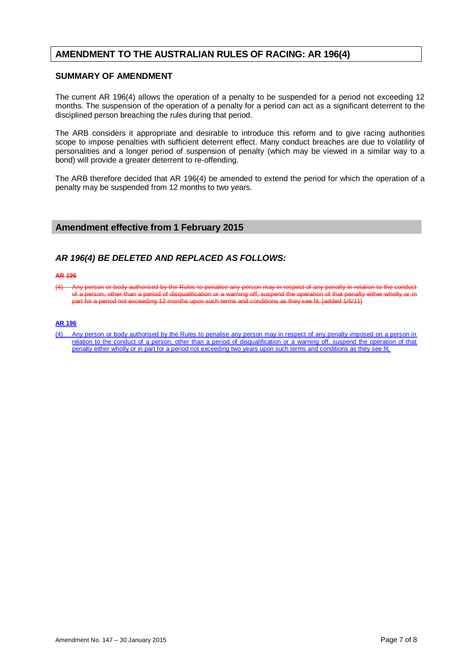## **AMENDMENT TO THE AUSTRALIAN RULES OF RACING: AR 196(4)**

### **SUMMARY OF AMENDMENT**

The current AR 196(4) allows the operation of a penalty to be suspended for a period not exceeding 12 months. The suspension of the operation of a penalty for a period can act as a significant deterrent to the disciplined person breaching the rules during that period.

The ARB considers it appropriate and desirable to introduce this reform and to give racing authorities scope to impose penalties with sufficient deterrent effect. Many conduct breaches are due to volatility of personalities and a longer period of suspension of penalty (which may be viewed in a similar way to a bond) will provide a greater deterrent to re-offending.

The ARB therefore decided that AR 196(4) be amended to extend the period for which the operation of a penalty may be suspended from 12 months to two years.

### **Amendment effective from 1 February 2015**

### *AR 196(4) BE DELETED AND REPLACED AS FOLLOWS:*

#### **AR 196**

(4) Any person or body authorised by the Rules to penalise any person may in respect of any penalty in relation to the conduct of a person, other than a period of disqualification or a warning off, suspend the operation of that penalty either wholly or in<br>part for a period not exceeding 12 months upon such terms and conditions as they see fit. [ad part for a period not exceeding 12 months

#### **AR 196**

(4) Any person or body authorised by the Rules to penalise any person may in respect of any penalty imposed on a person in relation to the conduct of a person, other than a period of disqualification or a warning off, suspend the operation of that penalty either wholly or in part for a period not exceeding two years upon such terms and conditions as they see fit.